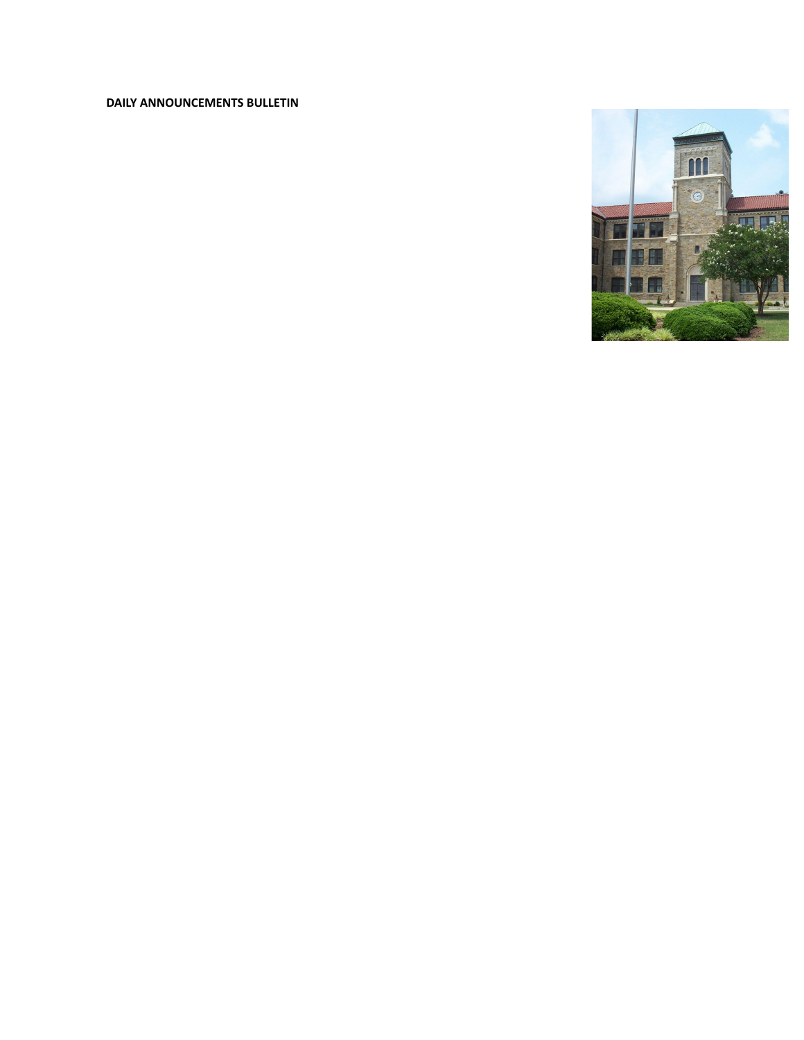# **DAILY ANNOUNCEMENTS BULLETIN**

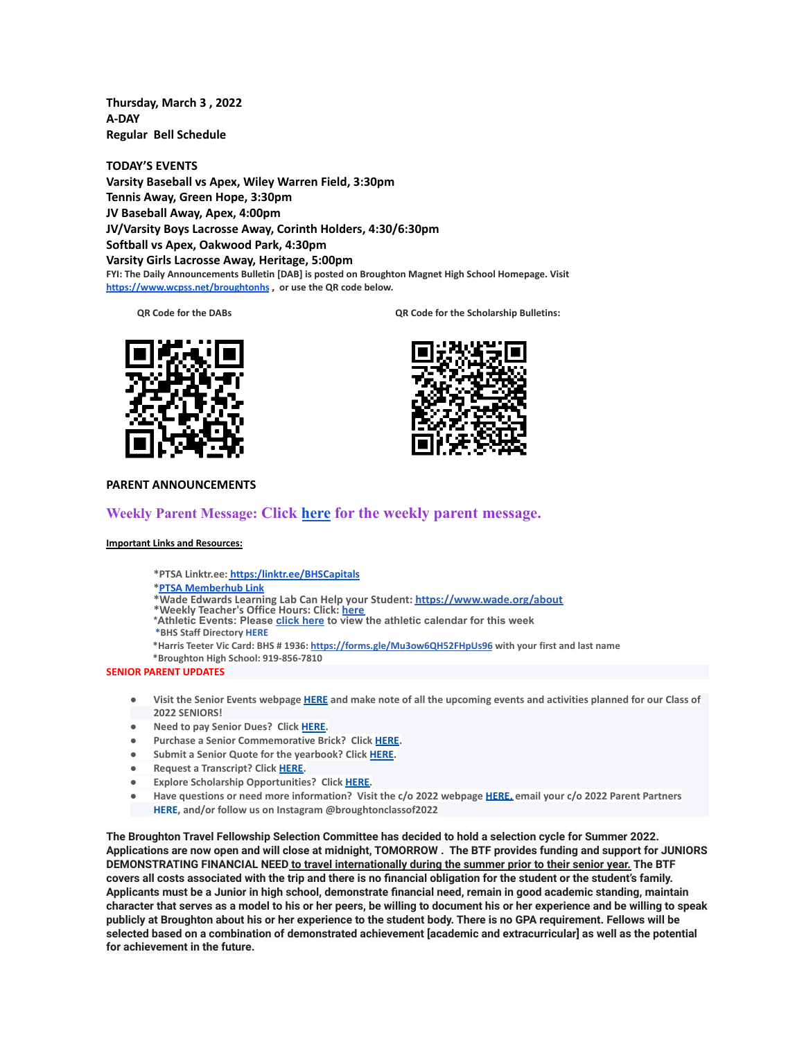**Thursday, March 3 , 2022 A-DAY Regular Bell Schedule**

**TODAY'S EVENTS Varsity Baseball vs Apex, Wiley Warren Field, 3:30pm Tennis Away, Green Hope, 3:30pm JV Baseball Away, Apex, 4:00pm JV/Varsity Boys Lacrosse Away, Corinth Holders, 4:30/6:30pm Softball vs Apex, Oakwood Park, 4:30pm Varsity Girls Lacrosse Away, Heritage, 5:00pm FYI: The Daily Announcements Bulletin [DAB] is posted on Broughton Magnet High School Homepage. Visit <https://www.wcpss.net/broughtonhs> , or use the QR code below.**

**QR Code for the DABs QR Code for the Scholarship Bulletins:**





### **PARENT ANNOUNCEMENTS**

## **Weekly Parent Message: Click [here](https://docs.google.com/document/d/1k3Nf3kB_7yyodZMh0wHxA5VgbifOzKSa0xsxpczMl18/edit?usp=sharing) for the weekly parent message.**

### **Important Links and Resources:**

**\*PTSA Linktr.ee: [https:/linktr.ee/BHSCapitals](https://linktr.ee/BHSCapitals)**

#### **\*PTSA [Memberhub](https://bhs.memberhub.com/store?category=Class%20of%202025) Link**

- **\*Wade Edwards Learning Lab Can Help your Student: <https://www.wade.org/about>**
- **\*Weekly Teacher's Office Hours: Click: [here](http://track.spe.schoolmessenger.com/f/a/VXmQUgL3DjY_xouvtQeSYg~~/AAAAAQA~/RgRjH1ehP0QiaHR0cHM6Ly93d3cud2Nwc3MubmV0L2RvbWFpbi8xNzY0MlcHc2Nob29sbUIKYTghJD5h5cteolIYa21jY29ubmVsbEBidWRkZ3JvdXAuY29tWAQAAAAB) \*Athletic Events: Please [click](http://track.spe.schoolmessenger.com/f/a/iNb9DXg0NxAeuYTJ_UBTRg~~/AAAAAQA~/RgRjH1ehP0RFaHR0cHM6Ly93d3cud2FrZWNvdW50eWF0aGxldGljcy5jb20vcGFnZS9zaG93LzE5NTI5MzQtbWFzdGVyLWNhbGVuZGFyVwdzY2hvb2xtQgphOCEkPmHly16iUhhrbWNjb25uZWxsQGJ1ZGRncm91cC5jb21YBAAAAAE~) here to view the athletic calendar for this week**
- **\*BHS Staff Directory [HERE](https://www.wcpss.net/Page/45215)**
- **\*Harris Teeter Vic Card: BHS # 1936: <https://forms.gle/Mu3ow6QH52FHpUs96> with your first and last name**
- **\*Broughton High School: 919-856-7810**

### **SENIOR PARENT UPDATES**

- Visit the Senior Events webpage [HERE](https://m7scym5f.r.us-east-1.awstrack.me/L0/https:%2F%2Fwww.wcpss.net%2FPage%2F35370/1/0100017e4478ab83-fd134d52-021b-4d63-891c-31465321890c-000000/l2HEysyraEkyUxmN8Zb7rr0KEog=252) and make note of all the upcoming events and activities planned for our Class of **2022 SENIORS!**
- **● Need to pay Senior Dues? Click [HERE.](https://m7scym5f.r.us-east-1.awstrack.me/L0/https:%2F%2Fwww.wcpss.net%2FPage%2F50324/1/0100017e4478ab83-fd134d52-021b-4d63-891c-31465321890c-000000/ClmJnMcZl7w6dHljZfUUpO1RgFY=252)**
- **● Purchase a Senior Commemorative Brick? Click [HERE](https://m7scym5f.r.us-east-1.awstrack.me/L0/https:%2F%2Fwww.wcpss.net%2FPage%2F50325/1/0100017e4478ab83-fd134d52-021b-4d63-891c-31465321890c-000000/TOIvngfsD6BboqDTmL5ZVjjDlM4=252).**
- **● Submit a Senior Quote for the yearbook? Click [HERE](https://m7scym5f.r.us-east-1.awstrack.me/L0/https:%2F%2Fwww.wcpss.net%2FPage%2F50693/1/0100017e4478ab83-fd134d52-021b-4d63-891c-31465321890c-000000/x07d38IITX0jt5c365wfr4AJB_s=252).**
- **● Request a Transcript? Click [HERE](https://m7scym5f.r.us-east-1.awstrack.me/L0/https:%2F%2Fwww.wcpss.net%2FPage%2F33378/1/0100017e4478ab83-fd134d52-021b-4d63-891c-31465321890c-000000/wkbUPzHaF79-OclNJOg-dOdn-Xk=252).**
- **● Explore Scholarship Opportunities? Click [HERE.](https://m7scym5f.r.us-east-1.awstrack.me/L0/https:%2F%2Fwww.wcpss.net%2FPage%2F50317/1/0100017e4478ab83-fd134d52-021b-4d63-891c-31465321890c-000000/vl1ViXxu5uYo9BoHks452rI6848=252)**
- Have questions or need more information? Visit the c/o 2022 webpage [HERE,](https://m7scym5f.r.us-east-1.awstrack.me/L0/https:%2F%2Fbhs.memberhub.com%2Fw%2F2022/1/0100017e4478ab83-fd134d52-021b-4d63-891c-31465321890c-000000/oTZaKWxhWWOo0o48Mf6887IPe6k=252) email your c/o 2022 Parent Partners **HERE, and/or follow us on Instagram @broughtonclassof2022**

**The Broughton Travel Fellowship Selection Committee has decided to hold a selection cycle for Summer 2022.** Applications are now open and will close at midnight, TOMORROW. The BTF provides funding and support for JUNIORS **DEMONSTRATING FINANCIAL NEED to travel internationally during the summer prior to their senior year. The BTF** covers all costs associated with the trip and there is no financial obligation for the student or the student's family. Applicants must be a Junior in high school, demonstrate financial need, remain in good academic standing, maintain character that serves as a model to his or her peers, be willing to document his or her experience and be willing to speak publicly at Broughton about his or her experience to the student body. There is no GPA requirement. Fellows will be selected based on a combination of demonstrated achievement [academic and extracurricular] as well as the potential **for achievement in the future.**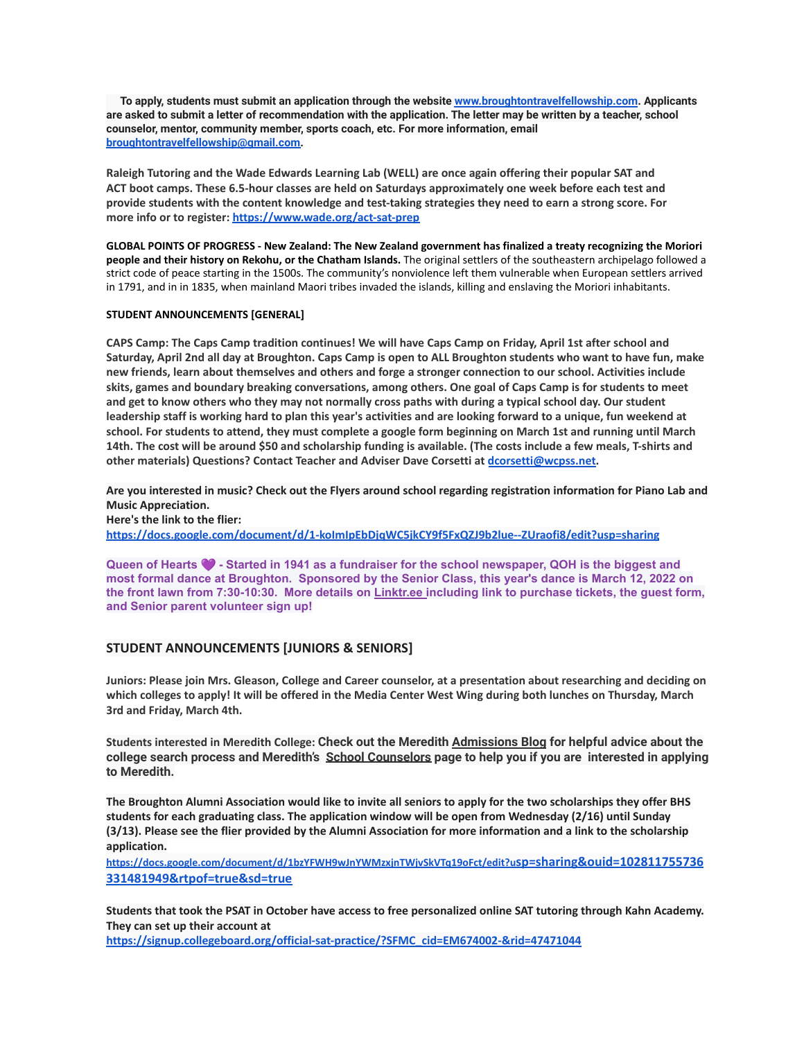**To apply, students must submit an application through the website [www.broughtontravelfellowship.com.](http://www.broughtontravelfellowship.com) Applicants** are asked to submit a letter of recommendation with the application. The letter may be written by a teacher, school **counselor, mentor, community member, sports coach, etc. For more information, email [broughtontravelfellowship@gmail.com.](mailto:broughtontravelfellowship@gmail.com)**

**Raleigh Tutoring and the Wade Edwards Learning Lab (WELL) are once again offering their popular SAT and ACT boot camps. These 6.5-hour classes are held on Saturdays approximately one week before each test and** provide students with the content knowledge and test-taking strategies they need to earn a strong score. For **more info or to register: <https://www.wade.org/act-sat-prep>**

**GLOBAL POINTS OF PROGRESS - New Zealand: The New Zealand government has finalized a treaty recognizing the Moriori people and their history on Rekohu, or the Chatham Islands.** The original settlers of the southeastern archipelago followed a strict code of peace starting in the 1500s. The community's nonviolence left them vulnerable when European settlers arrived in 1791, and in in 1835, when mainland Maori tribes invaded the islands, killing and enslaving the Moriori inhabitants.

## **STUDENT ANNOUNCEMENTS [GENERAL]**

CAPS Camp: The Caps Camp tradition continues! We will have Caps Camp on Friday, April 1st after school and Saturday, April 2nd all day at Broughton. Caps Camp is open to ALL Broughton students who want to have fun, make new friends, learn about themselves and others and forge a stronger connection to our school. Activities include skits, games and boundary breaking conversations, among others. One goal of Caps Camp is for students to meet and get to know others who they may not normally cross paths with during a typical school day. Our student leadership staff is working hard to plan this year's activities and are looking forward to a unique, fun weekend at school. For students to attend, they must complete a google form beginning on March 1st and running until March 14th. The cost will be around \$50 and scholarship funding is available. (The costs include a few meals, T-shirts and **other materials) Questions? Contact Teacher and Adviser Dave Corsetti at [dcorsetti@wcpss.net.](mailto:dcorsetti@wcpss.net)**

Are you interested in music? Check out the Flyers around school regarding registration information for Piano Lab and **Music Appreciation.**

**Here's the link to the flier:**

**<https://docs.google.com/document/d/1-koImIpEbDjqWC5jkCY9f5FxQZJ9b2lue--ZUraofi8/edit?usp=sharing>**

**Queen of Hearts - Started in 1941 as a fundraiser for the school newspaper, QOH is the biggest and most formal dance at Broughton. Sponsored by the Senior Class, this year's dance is March 12, 2022 on the front lawn from 7:30-10:30. More details on [Linktr.ee](https://m7scym5f.r.us-east-1.awstrack.me/L0/https:%2F%2Flinktr.ee%2FBHSCapitals/1/0100017f02bc123e-f4468695-ae24-4961-9bb0-228e77c7fd8c-000000/zS9elslvx1V1m69rqxdNXDJCW9g=258) [i](https://m7scym5f.r.us-east-1.awstrack.me/L0/https:%2F%2Flinktr.ee%2FBHSCapitals/2/0100017f02bc123e-f4468695-ae24-4961-9bb0-228e77c7fd8c-000000/0g2u_V74P5f0CuT3O27DkIGfGKY=258)ncluding link to purchase tickets, the guest form, and Senior parent volunteer sign up!**

## **STUDENT ANNOUNCEMENTS [JUNIORS & SENIORS]**

Juniors: Please join Mrs. Gleason, College and Career counselor, at a presentation about researching and deciding on which colleges to apply! It will be offered in the Media Center West Wing during both lunches on Thursday, March **3rd and Friday, March 4th.**

**Students interested in Meredith College: Check out the Meredith [Admissions](https://mx.technolutions.net/ss/c/gsby7xed_Q9kJKoUKuDGdAGX8k8hvgT6m5xeZbOkrZ5fElNCK44c-7B_LLDifLyd/3jz/asht6qCFT529qbTuVCWSCg/h4/RYjoCkPnPbpt_03bO7Cx9aIkn9iEKUnK4OjYNtpTL_I) Blog for helpful advice about the** college search process and Meredith's School [Counselors](https://mx.technolutions.net/ss/c/gsby7xed_Q9kJKoUKuDGdAGX8k8hvgT6m5xeZbOkrZ4xs4FFiFcqmnl1vhKGJPsXH3EA_r81g10syMLuCd09MA/3jz/asht6qCFT529qbTuVCWSCg/h5/-eHErPIRKz1zIsfBMjvPCyetuXXcPGnmn5e-vJFbpsM) page to help you if you are interested in applying **to Meredith.**

The Broughton Alumni Association would like to invite all seniors to apply for the two scholarships they offer BHS **students for each graduating class. The application window will be open from Wednesday (2/16) until Sunday** (3/13). Please see the flier provided by the Alumni Association for more information and a link to the scholarship **application.**

**[https://docs.google.com/document/d/1bzYFWH9wJnYWMzxjnTWjvSkVTq19oFct/edit?u](https://docs.google.com/document/d/1bzYFWH9wJnYWMzxjnTWjvSkVTq19oFct/edit?usp=sharing&ouid=102811755736331481949&rtpof=true&sd=true)sp=sharing&ouid=102811755736 [331481949&rtpof=true&sd=true](https://docs.google.com/document/d/1bzYFWH9wJnYWMzxjnTWjvSkVTq19oFct/edit?usp=sharing&ouid=102811755736331481949&rtpof=true&sd=true)**

Students that took the PSAT in October have access to free personalized online SAT tutoring through Kahn Academy. **They can set up their account at**

**[https://signup.collegeboard.org/official-sat-practice/?SFMC\\_cid=EM674002-&rid=47471044](https://signup.collegeboard.org/official-sat-practice/?SFMC_cid=EM674002-&rid=47471044)**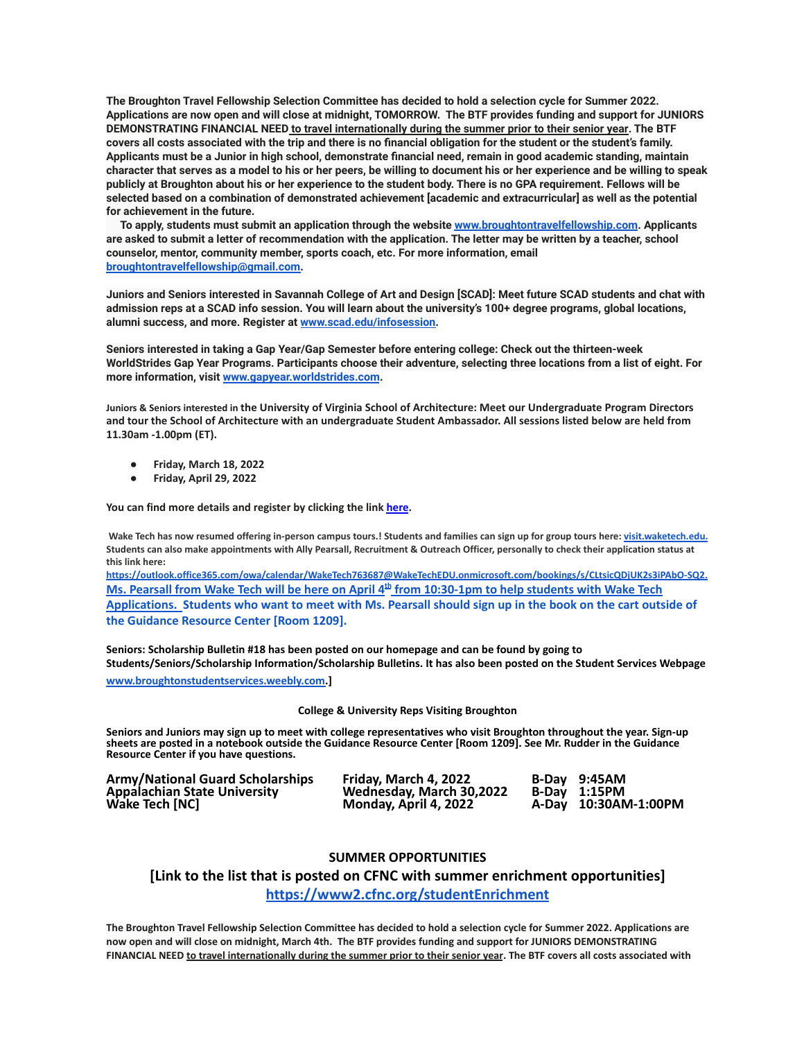**The Broughton Travel Fellowship Selection Committee has decided to hold a selection cycle for Summer 2022.** Applications are now open and will close at midnight, TOMORROW. The BTF provides funding and support for JUNIORS **DEMONSTRATING FINANCIAL NEED to travel internationally during the summer prior to their senior year. The BTF** covers all costs associated with the trip and there is no financial obligation for the student or the student's family. Applicants must be a Junior in high school, demonstrate financial need, remain in good academic standing, maintain character that serves as a model to his or her peers, be willing to document his or her experience and be willing to speak publicly at Broughton about his or her experience to the student body. There is no GPA requirement. Fellows will be selected based on a combination of demonstrated achievement [academic and extracurricular] as well as the potential **for achievement in the future.**

**To apply, students must submit an application through the website [www.broughtontravelfellowship.com.](http://www.broughtontravelfellowship.com) Applicants** are asked to submit a letter of recommendation with the application. The letter may be written by a teacher, school **counselor, mentor, community member, sports coach, etc. For more information, email [broughtontravelfellowship@gmail.com.](mailto:broughtontravelfellowship@gmail.com)**

Juniors and Seniors interested in Savannah College of Art and Design [SCAD]: Meet future SCAD students and chat with admission reps at a SCAD info session. You will learn about the university's 100+ degree programs, global locations, **alumni success, and more. Register at [www.scad.edu/infosession.](http://www.scad.edu/infosession)**

**Seniors interested in taking a Gap Year/Gap Semester before entering college: Check out the thirteen-week** WorldStrides Gap Year Programs. Participants choose their adventure, selecting three locations from a list of eight. For **more information, visit [www.gapyear.worldstrides.com](http://www.gapyear.worldstrides.com).**

**Juniors & Seniors interested in the University of Virginia School of Architecture: Meet our Undergraduate Program Directors and tour the School of Architecture with an undergraduate Student Ambassador. All sessions listed below are held from 11.30am -1.00pm (ET).**

- **● Friday, March 18, 2022**
- **● Friday, April 29, 2022**

**You can find more details and register by clicking the link [here](https://mx.technolutions.net/ss/c/gsby7xed_Q9kJKoUKuDGdHJU_xn8MSEg7Tp2Z8RR0Cjzs4oKR4EyX-gonRaDficilbWcu-Hd5OGMSIQgeBuJwpql4QfCDyZVV09F0RTyZKGUTQHttr0pl3-SErBmNNig/3je/KJNWo9PTSC-Ic05G1cWcGw/h0/pFC4rUeoWjQzE2x1hR3UUbbLpZep1ReuW6pVR7iRt6U).**

Wake Tech has now resumed offering in-person campus tours.! Students and families can sign up for group tours here: [visit.waketech.edu](https://www.waketech.edu/recruiting-and-outreach/visit-wake-tech). Students can also make appointments with Ally Pearsall, Recruitment & Outreach Officer, personally to check their application status at **this link here:**

**[https://outlook.office365.com/owa/calendar/WakeTech763687@WakeTechEDU.onmicrosoft.com/bookings/s/CLtsicQDjUK2s3iPAbO-SQ2.](https://outlook.office365.com/owa/calendar/WakeTech763687@WakeTechEDU.onmicrosoft.com/bookings/s/CLtsicQDjUK2s3iPAbO-SQ2)** Ms. Pearsall from Wake Tech will be here on April 4<sup>th</sup> from 10:30-1pm to help students with Wake Tech Applications. Students who want to meet with Ms. Pearsall should sign up in the book on the cart outside of **the Guidance Resource Center [Room 1209].**

**Seniors: Scholarship Bulletin #18 has been posted on our homepage and can be found by going to Students/Seniors/Scholarship Information/Scholarship Bulletins. It has also been posted on the Student Services Webpage [www.broughtonstudentservices.weebly.com.](http://www.broughtonstudentservices.weebly.com)]**

#### **College & University Reps Visiting Broughton**

**Seniors and Juniors may sign up to meet with college representatives who visit Broughton throughout the year. Sign-up sheets are posted in a notebook outside the Guidance Resource Center [Room 1209]. See Mr. Rudder in the Guidance Resource Center if you have questions.**

**Army/National Guard Scholarships Friday, March 4, 2022 B-Day 9:45AM Appalachian State University Wednesday, March 30,2022 B-Day 1:15PM**

**Wake Tech [NC] Monday, April 4, 2022 A-Day 10:30AM-1:00PM**

### **SUMMER OPPORTUNITIES**

## **[Link to the list that is posted on CFNC with summer enrichment opportunities] <https://www2.cfnc.org/studentEnrichment>**

The Broughton Travel Fellowship Selection Committee has decided to hold a selection cycle for Summer 2022. Applications are now open and will close on midnight, March 4th. The BTF provides funding and support for JUNIORS DEMONSTRATING FINANCIAL NEED to travel internationally during the summer prior to their senior year. The BTF covers all costs associated with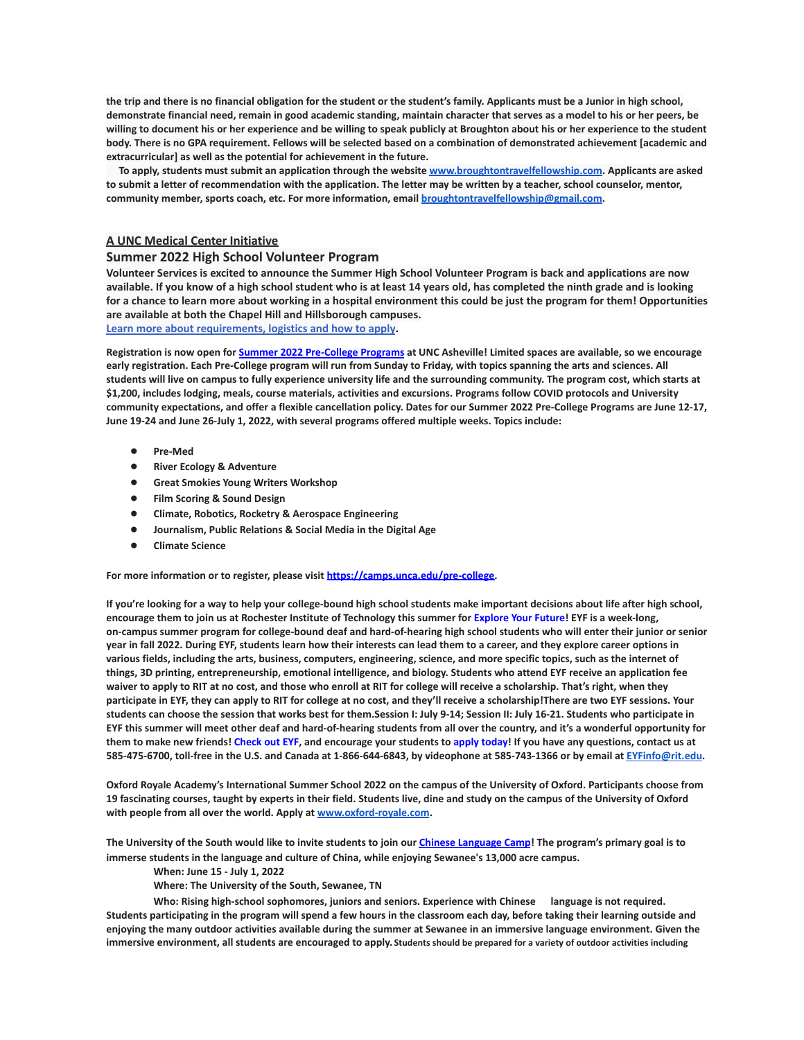the trip and there is no financial obligation for the student or the student's family. Applicants must be a Junior in high school, demonstrate financial need, remain in good academic standing, maintain character that serves as a model to his or her peers, be willing to document his or her experience and be willing to speak publicly at Broughton about his or her experience to the student body. There is no GPA requirement. Fellows will be selected based on a combination of demonstrated achievement [academic and **extracurricular] as well as the potential for achievement in the future.**

**To apply, students must submit an application through the website [www.broughtontravelfellowship.com.](http://www.broughtontravelfellowship.com) Applicants are asked** to submit a letter of recommendation with the application. The letter may be written by a teacher, school counselor, mentor, **community member, sports coach, etc. For more information, email [broughtontravelfellowship@gmail.com.](mailto:broughtontravelfellowship@gmail.com)**

## **A UNC Medical Center Initiative**

### **Summer 2022 High School Volunteer Program**

**Volunteer Services is excited to announce the Summer High School Volunteer Program is back and applications are now available. If you know of a high school student who is at least 14 years old, has completed the ninth grade and is looking for a chance to learn more about working in a hospital environment this could be just the program for them! Opportunities are available at both the Chapel Hill and Hillsborough campuses.**

**[Learn more about requirements, logistics and how to apply](https://www.uncmedicalcenter.org/uncmc/support/volunteer-services/high-school-volunteers/).**

Registration is now open for <u>Summer 2022 [Pre-College](https://mx.technolutions.net/ss/c/cHS6KxvaczfHhqkpLrKMJVWPxcQYRt0e0iEku2lDCy7TWiJx1_55o8zjVGV1sVk6/3jg/1SU4Iqm8RKCGs9Kqp3oKCA/h1/8KmmmA0tWn519kb2cHeogzMl7YlN_0BGLRgnvms3mCI) Programs</u> at UNC Asheville! Limited spaces are available, so we encourage early registration. Each Pre-College program will run from Sunday to Friday, with topics spanning the arts and sciences. All students will live on campus to fully experience university life and the surrounding community. The program cost, which starts at \$1,200, includes lodging, meals, course materials, activities and excursions. Programs follow COVID protocols and University community expectations, and offer a flexible cancellation policy. Dates for our Summer 2022 Pre-College Programs are June 12-17, **June 19-24 and June 26-July 1, 2022, with several programs offered multiple weeks. Topics include:**

- **● Pre-Med**
- **● River Ecology & Adventure**
- **● Great Smokies Young Writers Workshop**
- **● Film Scoring & Sound Design**
- **● Climate, Robotics, Rocketry & Aerospace Engineering**
- **● Journalism, Public Relations & Social Media in the Digital Age**
- **● Climate Science**

**For more information or to register, please visit [https://camps.unca.edu/pre-college.](https://mx.technolutions.net/ss/c/BQM-IylQKwVhFDmSUz94JMzQQ0hkkx5ESJs5UdbzD71mct6i1Y__RJ3rL4CzntUn/3jg/1SU4Iqm8RKCGs9Kqp3oKCA/h2/MZqaRAcrABE7L3WtqgiOohchCUtuWHHU1_eALUf2hTU)**

If you're looking for a way to help your college-bound high school students make important decisions about life after high school, encourage them to join us at Rochester Institute of Technology this summer for [Explore](https://mx.technolutions.net/ss/c/gsby7xed_Q9kJKoUKuDGdB9R9sive_ZsM1Qb_nhkgjA08w4AqgRoJb0vlLFSSjZT/3j6/cfOu9R3lR8u3xTRhpngdYQ/h2/xzdGfzy3I2uSoAWXNd4vWkN1gV7yfnaiLQn6UQatgnc) Your Future! EYF is a week-long, on-campus summer program for college-bound deaf and hard-of-hearing high school students who will enter their junior or senior year in fall 2022. During EYF, students learn how their interests can lead them to a career, and they explore career options in various fields, including the arts, business, computers, engineering, science, and more specific topics, such as the internet of things, 3D printing, entrepreneurship, emotional intelligence, and biology. Students who attend EYF receive an application fee waiver to apply to RIT at no cost, and those who enroll at RIT for college will receive a scholarship. That's right, when they participate in EYF, they can apply to RIT for college at no cost, and they'll receive a scholarship! There are two EYF sessions. Your students can choose the session that works best for them.Session I: July 9-14; Session II: July 16-21. Students who participate in EYF this summer will meet other deaf and hard-of-hearing students from all over the country, and it's a wonderful opportunity for them to make new friends! [Check](https://mx.technolutions.net/ss/c/gsby7xed_Q9kJKoUKuDGdB9R9sive_ZsM1Qb_nhkgjA08w4AqgRoJb0vlLFSSjZT/3j6/cfOu9R3lR8u3xTRhpngdYQ/h3/EJAJ5IZYnhy_5EoPb20FqK_vFekSoBF5wdP5m4I0v8E) out EYF, and encourage your students to apply [today!](https://mx.technolutions.net/ss/c/VpDhrCrvzjOrNk6AZ3TbHsDAoOWeZg67sWX3pIhEAGxCWhE-b5_ccZhgCUBu0qQbXV3r3Sp2r3bvI44-_FnkWzKY8PPT-NIXylVlj1p1QBc/3j6/cfOu9R3lR8u3xTRhpngdYQ/h4/z_F1GbKvjAXrSXS3vh6GZk3C0_JRjjBhcsu_861EJVE) If you have any questions, contact us at 585-475-6700, toll-free in the U.S. and Canada at 1-866-644-6843, by videophone at 585-743-1366 or by email at [EYFinfo@rit.edu.](mailto:EYFinfo@rit.edu)

Oxford Royale Academy's International Summer School 2022 on the campus of the University of Oxford. Participants choose from 19 fascinating courses, taught by experts in their field. Students live, dine and study on the campus of the University of Oxford **with people from all over the world. Apply at [www.oxford-royale.com](http://www.oxford-royale.com).**

The University of the South would like to invite students to join our Chinese [Language](https://mx.technolutions.net/ss/c/eakQ-C8DCmUrd8y7yBWDFiYAOUoJQ4pz7MfbEBpip6l0y_Hm_m-q4S1NAhKySW0l0l52Av-XFInBcX_HbKNhaFaTuY25zEq03f7H2jjkYbiZerVnvT_jJBJvBnD8L-82oFcjCA4feCp5rOrmzPCcig/3h1/Zb0AzY0dSO6ybsQoCzalvA/h1/a-eaRv0bEo5dxrOjmNABke9N9q3IKNCmv7tp3yn1eRg) Camp! The program's primary goal is to **immerse students in the language and culture of China, while enjoying Sewanee's 13,000 acre campus.**

**When: June 15 - July 1, 2022**

**Where: The University of the South, Sewanee, TN**

**Who: Rising high-school sophomores, juniors and seniors. Experience with Chinese language is not required.** Students participating in the program will spend a few hours in the classroom each day, before taking their learning outside and enjoying the many outdoor activities available during the summer at Sewanee in an immersive language environment. Given the **immersive environment, all students are encouraged to apply. Students should be prepared for a variety of outdoor activities including**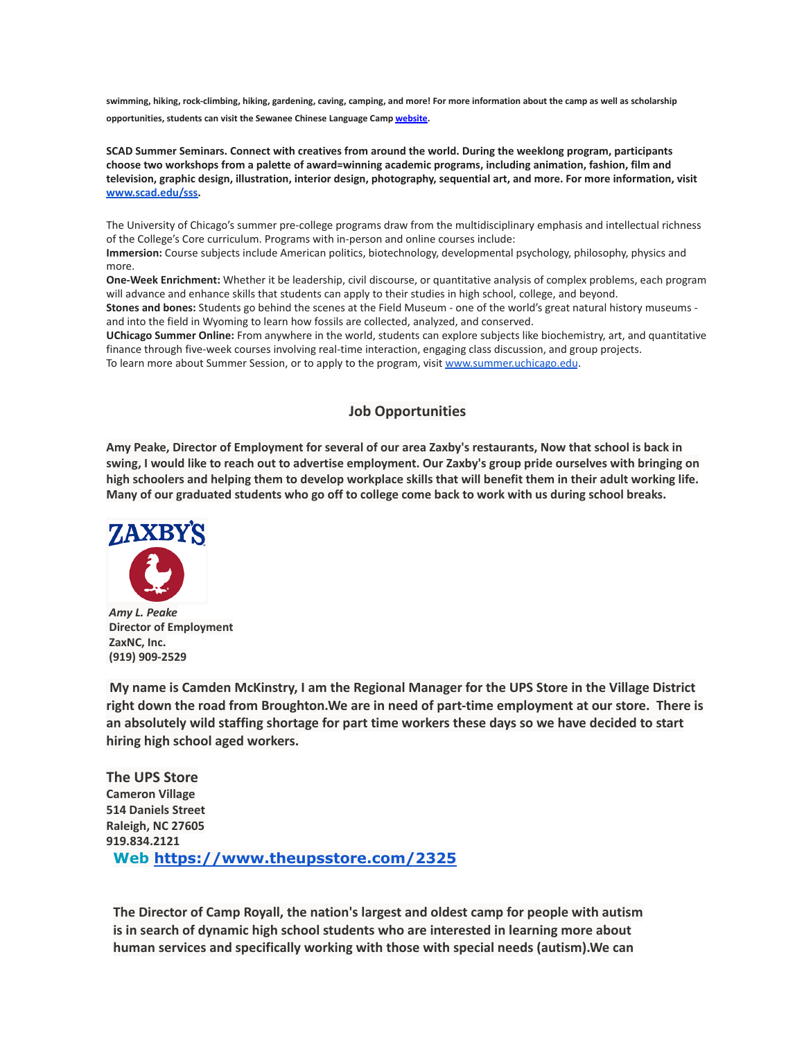**swimming, hiking, rock-climbing, hiking, gardening, caving, camping, and more! For more information about the camp as well as scholarship opportunities, students can visit the Sewanee Chinese Language Camp [website.](https://mx.technolutions.net/ss/c/eakQ-C8DCmUrd8y7yBWDFiYAOUoJQ4pz7MfbEBpip6l0y_Hm_m-q4S1NAhKySW0l0l52Av-XFInBcX_HbKNhaFaTuY25zEq03f7H2jjkYbiZerVnvT_jJBJvBnD8L-82oFcjCA4feCp5rOrmzPCcig/3h1/Zb0AzY0dSO6ybsQoCzalvA/h2/75iusWoe6oX7KGnwrl--J5PGQK1G9zr9iO3WkMg5UHE)**

**SCAD Summer Seminars. Connect with creatives from around the world. During the weeklong program, participants choose two workshops from a palette of award=winning academic programs, including animation, fashion, film and television, graphic design, illustration, interior design, photography, sequential art, and more. For more information, visit [www.scad.edu/sss.](http://www.scad.edu/sss)**

The University of Chicago's summer pre-college programs draw from the multidisciplinary emphasis and intellectual richness of the College's Core curriculum. Programs with in-person and online courses include:

**Immersion:** Course subjects include American politics, biotechnology, developmental psychology, philosophy, physics and more.

**One-Week Enrichment:** Whether it be leadership, civil discourse, or quantitative analysis of complex problems, each program will advance and enhance skills that students can apply to their studies in high school, college, and beyond.

**Stones and bones:** Students go behind the scenes at the Field Museum - one of the world's great natural history museums and into the field in Wyoming to learn how fossils are collected, analyzed, and conserved.

**UChicago Summer Online:** From anywhere in the world, students can explore subjects like biochemistry, art, and quantitative finance through five-week courses involving real-time interaction, engaging class discussion, and group projects. To learn more about Summer Session, or to apply to the program, visit [www.summer.uchicago.edu](http://www.summer.uchicago.edu).

# **Job Opportunities**

Amy Peake, Director of Employment for several of our area Zaxby's restaurants, Now that school is back in swing, I would like to reach out to advertise employment. Our Zaxby's group pride ourselves with bringing on high schoolers and helping them to develop workplace skills that will benefit them in their adult working life. Many of our graduated students who go off to college come back to work with us during school breaks.



*Amy L. Peake* **Director of Employment ZaxNC, Inc. (919) 909-2529**

**My name is Camden McKinstry, I am the Regional Manager for the UPS Store in the Village District right down the road from Broughton.We are in need of part-time employment at our store. There is an absolutely wild staffing shortage for part time workers these days so we have decided to start hiring high school aged workers.**

**The UPS Store Cameron Village 514 Daniels Street Raleigh, NC 27605 919.834.2121 Web <https://www.theupsstore.com/2325>**

**The Director of Camp Royall, the nation's largest and oldest camp for people with autism is in search of dynamic high school students who are interested in learning more about human services and specifically working with those with special needs (autism).We can**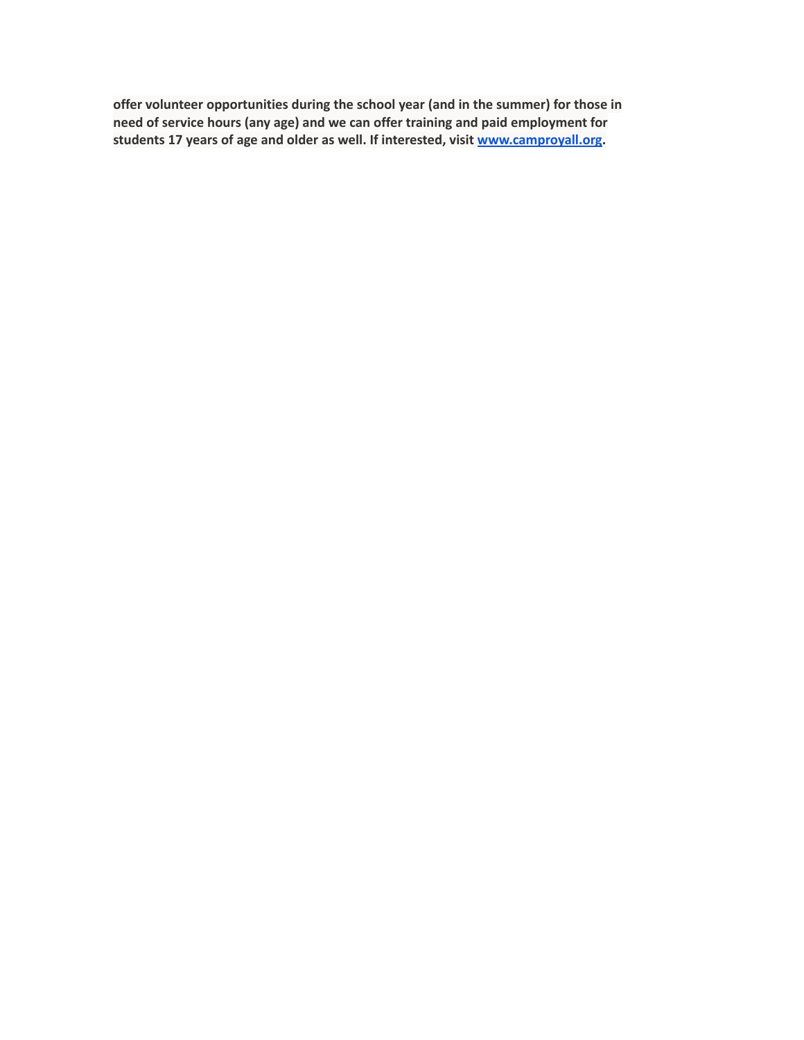**offer volunteer opportunities during the school year (and in the summer) for those in need of service hours (any age) and we can offer training and paid employment for students 17 years of age and older as well. If interested, visit [www.camproyall.org.](http://www.camproyall.org)**